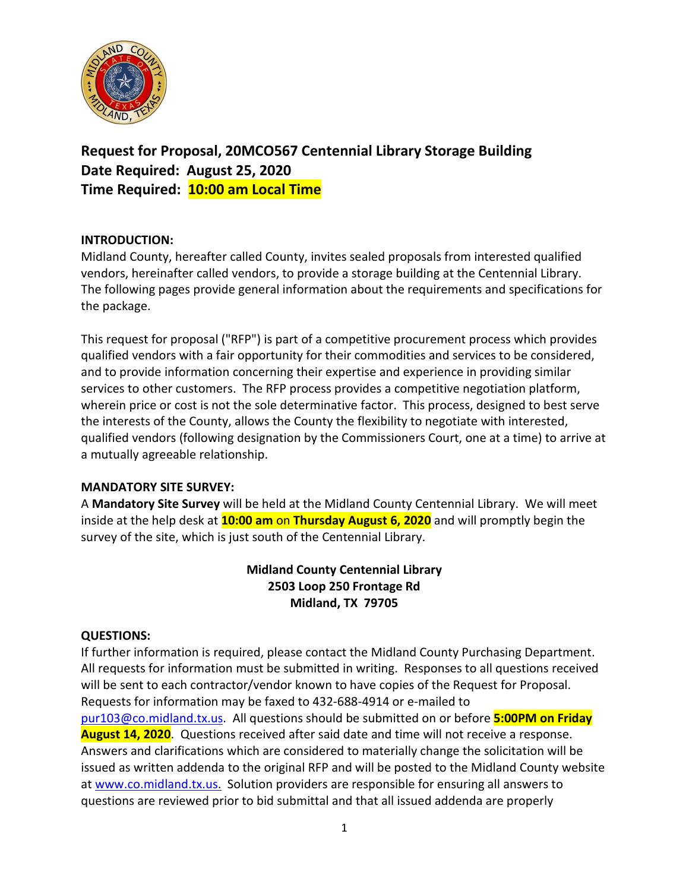

**Request for Proposal, 20MCO567 Centennial Library Storage Building Date Required: August 25, 2020 Time Required: 10:00 am Local Time**

### **INTRODUCTION:**

Midland County, hereafter called County, invites sealed proposals from interested qualified vendors, hereinafter called vendors, to provide a storage building at the Centennial Library. The following pages provide general information about the requirements and specifications for the package.

This request for proposal ("RFP") is part of a competitive procurement process which provides qualified vendors with a fair opportunity for their commodities and services to be considered, and to provide information concerning their expertise and experience in providing similar services to other customers. The RFP process provides a competitive negotiation platform, wherein price or cost is not the sole determinative factor. This process, designed to best serve the interests of the County, allows the County the flexibility to negotiate with interested, qualified vendors (following designation by the Commissioners Court, one at a time) to arrive at a mutually agreeable relationship.

#### **MANDATORY SITE SURVEY:**

A **Mandatory Site Survey** will be held at the Midland County Centennial Library. We will meet inside at the help desk at **10:00 am** on **Thursday August 6, 2020** and will promptly begin the survey of the site, which is just south of the Centennial Library.

# **Midland County Centennial Library 2503 Loop 250 Frontage Rd Midland, TX 79705**

#### **QUESTIONS:**

If further information is required, please contact the Midland County Purchasing Department. All requests for information must be submitted in writing. Responses to all questions received will be sent to each contractor/vendor known to have copies of the Request for Proposal. Requests for information may be faxed to 432-688-4914 or e-mailed to [pur103@co.midland.tx.us.](mailto:pur103@co.midland.tx.us) All questions should be submitted on or before **5:00PM on Friday August 14, 2020**. Questions received after said date and time will not receive a response. Answers and clarifications which are considered to materially change the solicitation will be issued as written addenda to the original RFP and will be posted to the Midland County website at [www.co.midland.tx.us.](http://www.co.midland.tx.us/) Solution providers are responsible for ensuring all answers to questions are reviewed prior to bid submittal and that all issued addenda are properly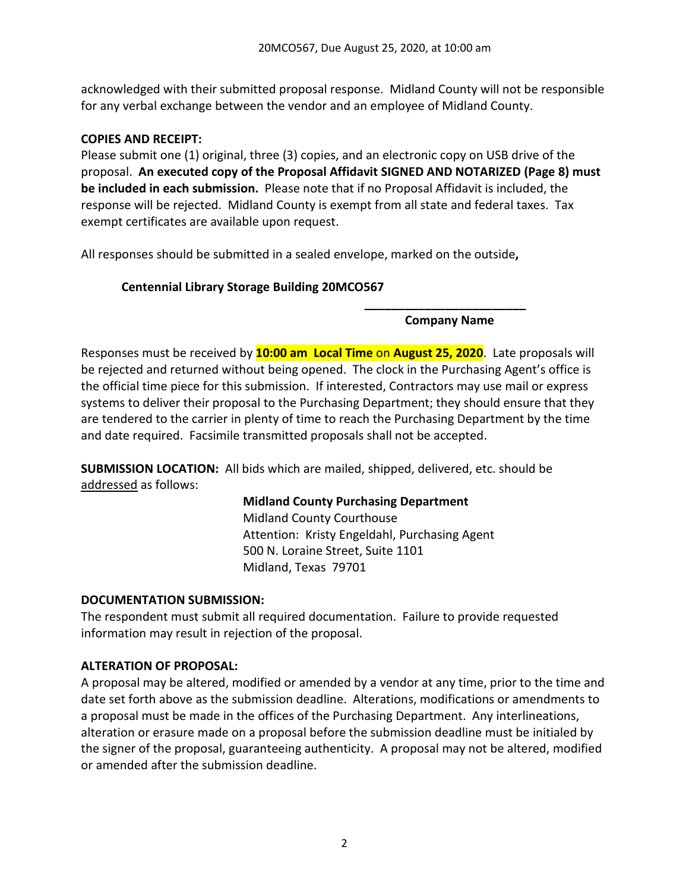acknowledged with their submitted proposal response. Midland County will not be responsible for any verbal exchange between the vendor and an employee of Midland County.

## **COPIES AND RECEIPT:**

Please submit one (1) original, three (3) copies, and an electronic copy on USB drive of the proposal. **An executed copy of the Proposal Affidavit SIGNED AND NOTARIZED (Page 8) must be included in each submission.** Please note that if no Proposal Affidavit is included, the response will be rejected. Midland County is exempt from all state and federal taxes. Tax exempt certificates are available upon request.

All responses should be submitted in a sealed envelope, marked on the outside**,** 

# **Centennial Library Storage Building 20MCO567**

**\_\_\_\_\_\_\_\_\_\_\_\_\_\_\_\_\_\_\_\_\_\_\_\_ Company Name**

Responses must be received by **10:00 am Local Time** on **August 25, 2020**. Late proposals will be rejected and returned without being opened. The clock in the Purchasing Agent's office is the official time piece for this submission. If interested, Contractors may use mail or express systems to deliver their proposal to the Purchasing Department; they should ensure that they are tendered to the carrier in plenty of time to reach the Purchasing Department by the time and date required. Facsimile transmitted proposals shall not be accepted.

**SUBMISSION LOCATION:** All bids which are mailed, shipped, delivered, etc. should be addressed as follows:

## **Midland County Purchasing Department**

Midland County Courthouse Attention: Kristy Engeldahl, Purchasing Agent 500 N. Loraine Street, Suite 1101 Midland, Texas 79701

## **DOCUMENTATION SUBMISSION:**

The respondent must submit all required documentation. Failure to provide requested information may result in rejection of the proposal.

## **ALTERATION OF PROPOSAL:**

A proposal may be altered, modified or amended by a vendor at any time, prior to the time and date set forth above as the submission deadline. Alterations, modifications or amendments to a proposal must be made in the offices of the Purchasing Department. Any interlineations, alteration or erasure made on a proposal before the submission deadline must be initialed by the signer of the proposal, guaranteeing authenticity. A proposal may not be altered, modified or amended after the submission deadline.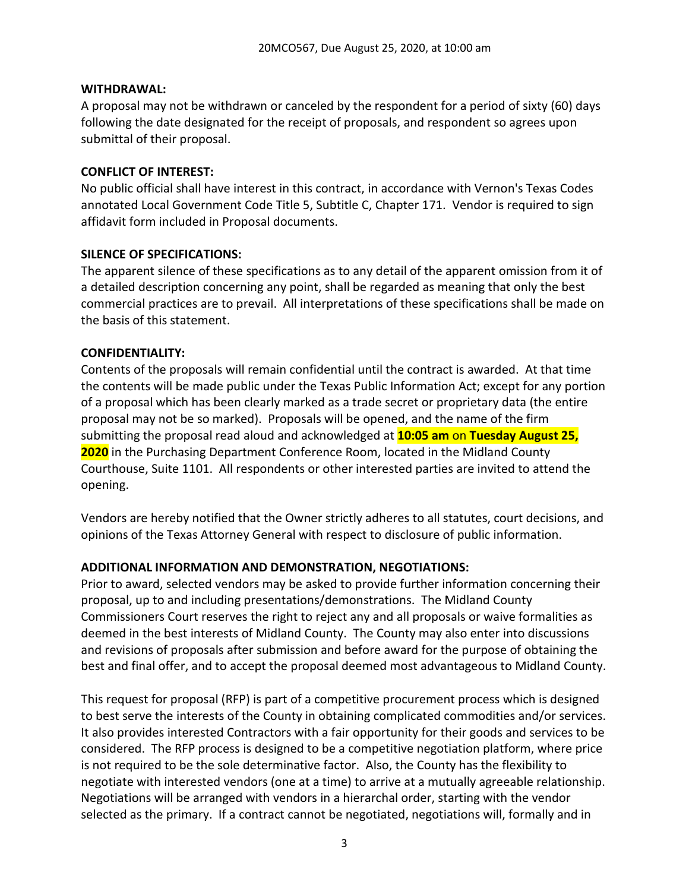#### **WITHDRAWAL:**

A proposal may not be withdrawn or canceled by the respondent for a period of sixty (60) days following the date designated for the receipt of proposals, and respondent so agrees upon submittal of their proposal.

### **CONFLICT OF INTEREST:**

No public official shall have interest in this contract, in accordance with Vernon's Texas Codes annotated Local Government Code Title 5, Subtitle C, Chapter 171. Vendor is required to sign affidavit form included in Proposal documents.

### **SILENCE OF SPECIFICATIONS:**

The apparent silence of these specifications as to any detail of the apparent omission from it of a detailed description concerning any point, shall be regarded as meaning that only the best commercial practices are to prevail. All interpretations of these specifications shall be made on the basis of this statement.

## **CONFIDENTIALITY:**

Contents of the proposals will remain confidential until the contract is awarded. At that time the contents will be made public under the Texas Public Information Act; except for any portion of a proposal which has been clearly marked as a trade secret or proprietary data (the entire proposal may not be so marked). Proposals will be opened, and the name of the firm submitting the proposal read aloud and acknowledged at **10:05 am** on **Tuesday August 25, 2020** in the Purchasing Department Conference Room, located in the Midland County Courthouse, Suite 1101. All respondents or other interested parties are invited to attend the opening.

Vendors are hereby notified that the Owner strictly adheres to all statutes, court decisions, and opinions of the Texas Attorney General with respect to disclosure of public information.

## **ADDITIONAL INFORMATION AND DEMONSTRATION, NEGOTIATIONS:**

Prior to award, selected vendors may be asked to provide further information concerning their proposal, up to and including presentations/demonstrations. The Midland County Commissioners Court reserves the right to reject any and all proposals or waive formalities as deemed in the best interests of Midland County. The County may also enter into discussions and revisions of proposals after submission and before award for the purpose of obtaining the best and final offer, and to accept the proposal deemed most advantageous to Midland County.

This request for proposal (RFP) is part of a competitive procurement process which is designed to best serve the interests of the County in obtaining complicated commodities and/or services. It also provides interested Contractors with a fair opportunity for their goods and services to be considered. The RFP process is designed to be a competitive negotiation platform, where price is not required to be the sole determinative factor. Also, the County has the flexibility to negotiate with interested vendors (one at a time) to arrive at a mutually agreeable relationship. Negotiations will be arranged with vendors in a hierarchal order, starting with the vendor selected as the primary. If a contract cannot be negotiated, negotiations will, formally and in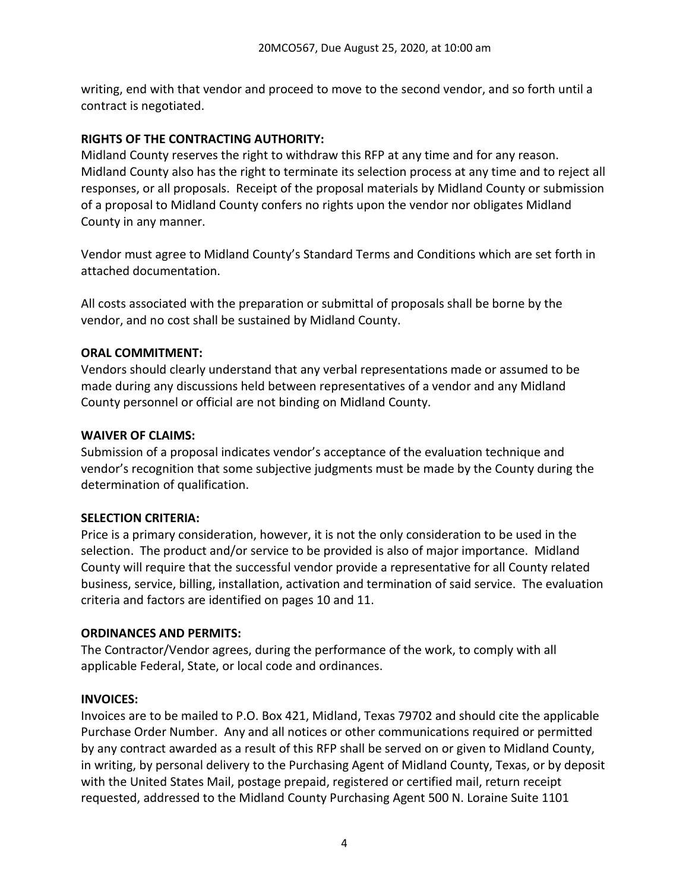writing, end with that vendor and proceed to move to the second vendor, and so forth until a contract is negotiated.

## **RIGHTS OF THE CONTRACTING AUTHORITY:**

Midland County reserves the right to withdraw this RFP at any time and for any reason. Midland County also has the right to terminate its selection process at any time and to reject all responses, or all proposals. Receipt of the proposal materials by Midland County or submission of a proposal to Midland County confers no rights upon the vendor nor obligates Midland County in any manner.

Vendor must agree to Midland County's Standard Terms and Conditions which are set forth in attached documentation.

All costs associated with the preparation or submittal of proposals shall be borne by the vendor, and no cost shall be sustained by Midland County.

## **ORAL COMMITMENT:**

Vendors should clearly understand that any verbal representations made or assumed to be made during any discussions held between representatives of a vendor and any Midland County personnel or official are not binding on Midland County.

## **WAIVER OF CLAIMS:**

Submission of a proposal indicates vendor's acceptance of the evaluation technique and vendor's recognition that some subjective judgments must be made by the County during the determination of qualification.

## **SELECTION CRITERIA:**

Price is a primary consideration, however, it is not the only consideration to be used in the selection. The product and/or service to be provided is also of major importance. Midland County will require that the successful vendor provide a representative for all County related business, service, billing, installation, activation and termination of said service. The evaluation criteria and factors are identified on pages 10 and 11.

# **ORDINANCES AND PERMITS:**

The Contractor/Vendor agrees, during the performance of the work, to comply with all applicable Federal, State, or local code and ordinances.

# **INVOICES:**

Invoices are to be mailed to P.O. Box 421, Midland, Texas 79702 and should cite the applicable Purchase Order Number. Any and all notices or other communications required or permitted by any contract awarded as a result of this RFP shall be served on or given to Midland County, in writing, by personal delivery to the Purchasing Agent of Midland County, Texas, or by deposit with the United States Mail, postage prepaid, registered or certified mail, return receipt requested, addressed to the Midland County Purchasing Agent 500 N. Loraine Suite 1101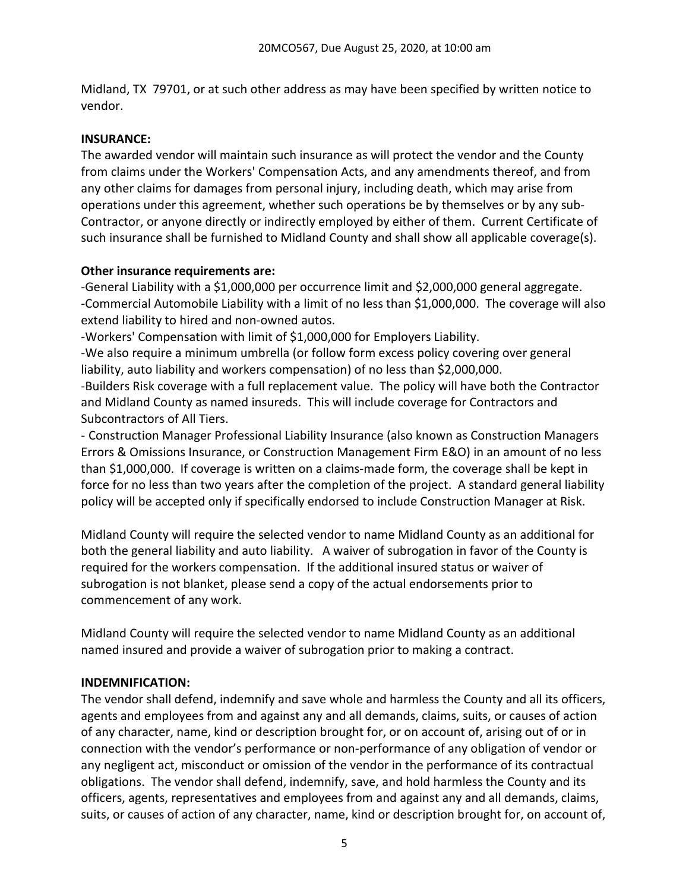Midland, TX 79701, or at such other address as may have been specified by written notice to vendor.

## **INSURANCE:**

The awarded vendor will maintain such insurance as will protect the vendor and the County from claims under the Workers' Compensation Acts, and any amendments thereof, and from any other claims for damages from personal injury, including death, which may arise from operations under this agreement, whether such operations be by themselves or by any sub-Contractor, or anyone directly or indirectly employed by either of them. Current Certificate of such insurance shall be furnished to Midland County and shall show all applicable coverage(s).

### **Other insurance requirements are:**

-General Liability with a \$1,000,000 per occurrence limit and \$2,000,000 general aggregate. -Commercial Automobile Liability with a limit of no less than \$1,000,000. The coverage will also extend liability to hired and non-owned autos.

-Workers' Compensation with limit of \$1,000,000 for Employers Liability.

-We also require a minimum umbrella (or follow form excess policy covering over general liability, auto liability and workers compensation) of no less than \$2,000,000.

-Builders Risk coverage with a full replacement value. The policy will have both the Contractor and Midland County as named insureds. This will include coverage for Contractors and Subcontractors of All Tiers.

- Construction Manager Professional Liability Insurance (also known as Construction Managers Errors & Omissions Insurance, or Construction Management Firm E&O) in an amount of no less than \$1,000,000. If coverage is written on a claims-made form, the coverage shall be kept in force for no less than two years after the completion of the project. A standard general liability policy will be accepted only if specifically endorsed to include Construction Manager at Risk.

Midland County will require the selected vendor to name Midland County as an additional for both the general liability and auto liability. A waiver of subrogation in favor of the County is required for the workers compensation. If the additional insured status or waiver of subrogation is not blanket, please send a copy of the actual endorsements prior to commencement of any work.

Midland County will require the selected vendor to name Midland County as an additional named insured and provide a waiver of subrogation prior to making a contract.

#### **INDEMNIFICATION:**

The vendor shall defend, indemnify and save whole and harmless the County and all its officers, agents and employees from and against any and all demands, claims, suits, or causes of action of any character, name, kind or description brought for, or on account of, arising out of or in connection with the vendor's performance or non-performance of any obligation of vendor or any negligent act, misconduct or omission of the vendor in the performance of its contractual obligations. The vendor shall defend, indemnify, save, and hold harmless the County and its officers, agents, representatives and employees from and against any and all demands, claims, suits, or causes of action of any character, name, kind or description brought for, on account of,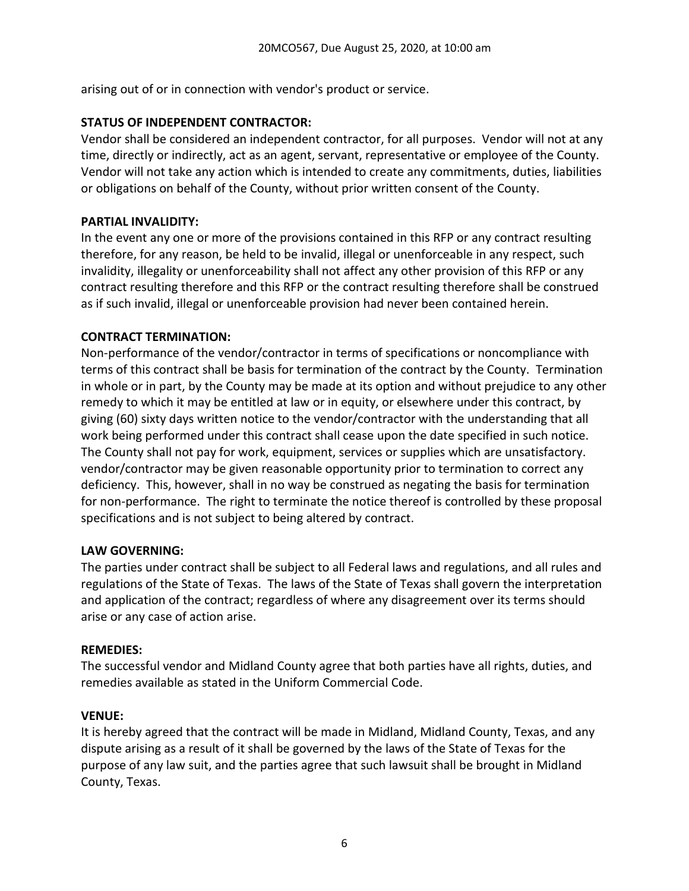arising out of or in connection with vendor's product or service.

## **STATUS OF INDEPENDENT CONTRACTOR:**

Vendor shall be considered an independent contractor, for all purposes. Vendor will not at any time, directly or indirectly, act as an agent, servant, representative or employee of the County. Vendor will not take any action which is intended to create any commitments, duties, liabilities or obligations on behalf of the County, without prior written consent of the County.

### **PARTIAL INVALIDITY:**

In the event any one or more of the provisions contained in this RFP or any contract resulting therefore, for any reason, be held to be invalid, illegal or unenforceable in any respect, such invalidity, illegality or unenforceability shall not affect any other provision of this RFP or any contract resulting therefore and this RFP or the contract resulting therefore shall be construed as if such invalid, illegal or unenforceable provision had never been contained herein.

### **CONTRACT TERMINATION:**

Non-performance of the vendor/contractor in terms of specifications or noncompliance with terms of this contract shall be basis for termination of the contract by the County. Termination in whole or in part, by the County may be made at its option and without prejudice to any other remedy to which it may be entitled at law or in equity, or elsewhere under this contract, by giving (60) sixty days written notice to the vendor/contractor with the understanding that all work being performed under this contract shall cease upon the date specified in such notice. The County shall not pay for work, equipment, services or supplies which are unsatisfactory. vendor/contractor may be given reasonable opportunity prior to termination to correct any deficiency. This, however, shall in no way be construed as negating the basis for termination for non-performance. The right to terminate the notice thereof is controlled by these proposal specifications and is not subject to being altered by contract.

#### **LAW GOVERNING:**

The parties under contract shall be subject to all Federal laws and regulations, and all rules and regulations of the State of Texas. The laws of the State of Texas shall govern the interpretation and application of the contract; regardless of where any disagreement over its terms should arise or any case of action arise.

#### **REMEDIES:**

The successful vendor and Midland County agree that both parties have all rights, duties, and remedies available as stated in the Uniform Commercial Code.

#### **VENUE:**

It is hereby agreed that the contract will be made in Midland, Midland County, Texas, and any dispute arising as a result of it shall be governed by the laws of the State of Texas for the purpose of any law suit, and the parties agree that such lawsuit shall be brought in Midland County, Texas.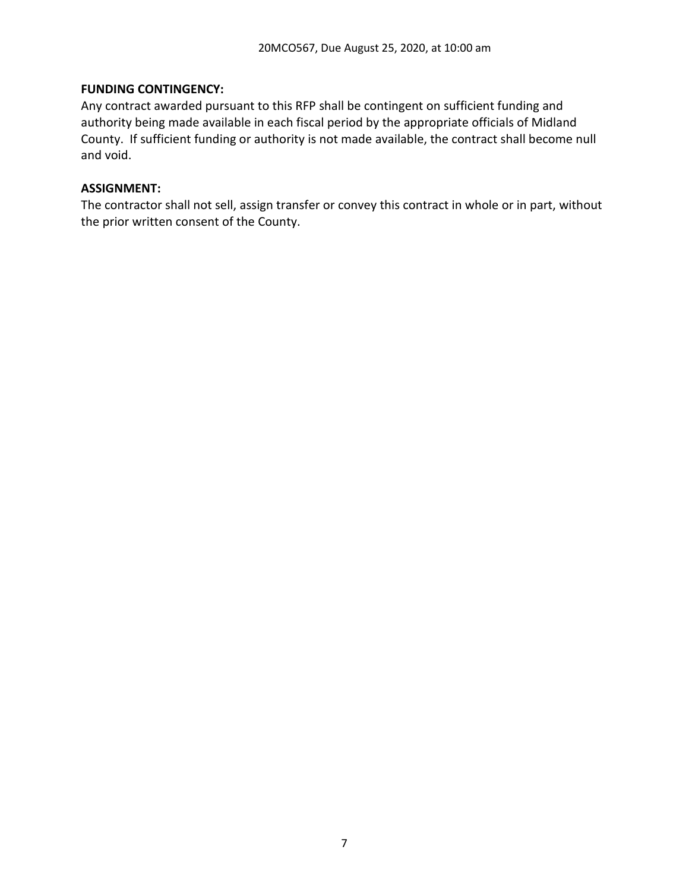### **FUNDING CONTINGENCY:**

Any contract awarded pursuant to this RFP shall be contingent on sufficient funding and authority being made available in each fiscal period by the appropriate officials of Midland County. If sufficient funding or authority is not made available, the contract shall become null and void.

#### **ASSIGNMENT:**

The contractor shall not sell, assign transfer or convey this contract in whole or in part, without the prior written consent of the County.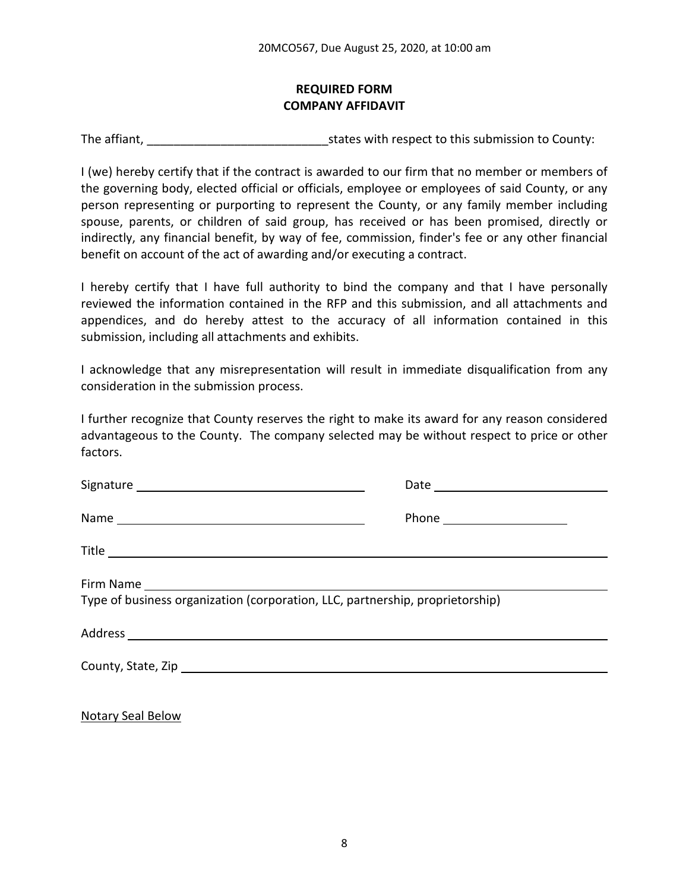## **REQUIRED FORM COMPANY AFFIDAVIT**

The affiant, The affiant,  $\frac{1}{2}$  is tates with respect to this submission to County:

I (we) hereby certify that if the contract is awarded to our firm that no member or members of the governing body, elected official or officials, employee or employees of said County, or any person representing or purporting to represent the County, or any family member including spouse, parents, or children of said group, has received or has been promised, directly or indirectly, any financial benefit, by way of fee, commission, finder's fee or any other financial benefit on account of the act of awarding and/or executing a contract.

I hereby certify that I have full authority to bind the company and that I have personally reviewed the information contained in the RFP and this submission, and all attachments and appendices, and do hereby attest to the accuracy of all information contained in this submission, including all attachments and exhibits.

I acknowledge that any misrepresentation will result in immediate disqualification from any consideration in the submission process.

I further recognize that County reserves the right to make its award for any reason considered advantageous to the County. The company selected may be without respect to price or other factors.

| Type of business organization (corporation, LLC, partnership, proprietorship) |  |
|-------------------------------------------------------------------------------|--|
|                                                                               |  |
|                                                                               |  |

Notary Seal Below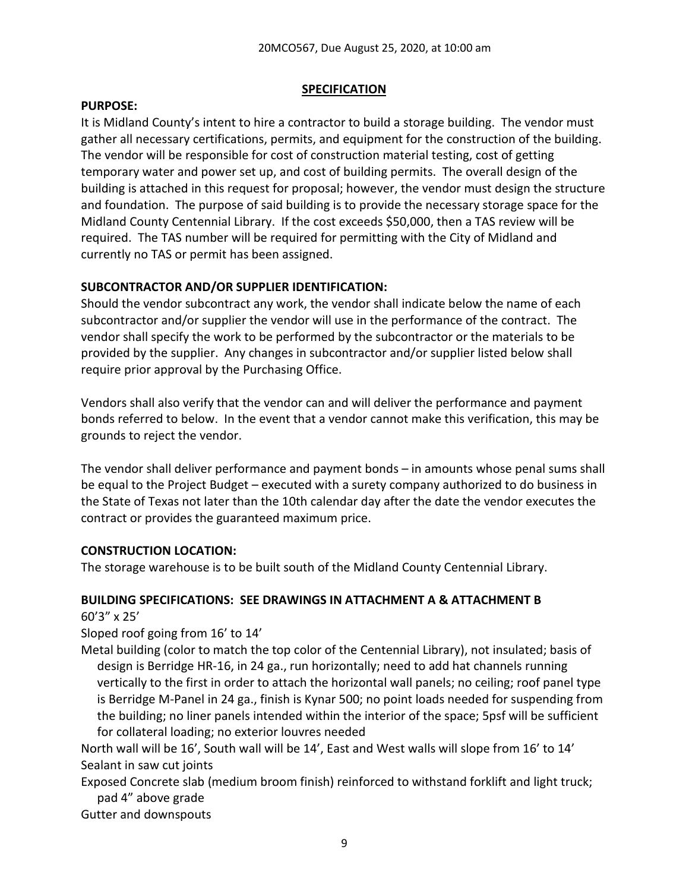#### **SPECIFICATION**

#### **PURPOSE:**

It is Midland County's intent to hire a contractor to build a storage building. The vendor must gather all necessary certifications, permits, and equipment for the construction of the building. The vendor will be responsible for cost of construction material testing, cost of getting temporary water and power set up, and cost of building permits. The overall design of the building is attached in this request for proposal; however, the vendor must design the structure and foundation. The purpose of said building is to provide the necessary storage space for the Midland County Centennial Library. If the cost exceeds \$50,000, then a TAS review will be required. The TAS number will be required for permitting with the City of Midland and currently no TAS or permit has been assigned.

### **SUBCONTRACTOR AND/OR SUPPLIER IDENTIFICATION:**

Should the vendor subcontract any work, the vendor shall indicate below the name of each subcontractor and/or supplier the vendor will use in the performance of the contract. The vendor shall specify the work to be performed by the subcontractor or the materials to be provided by the supplier. Any changes in subcontractor and/or supplier listed below shall require prior approval by the Purchasing Office.

Vendors shall also verify that the vendor can and will deliver the performance and payment bonds referred to below. In the event that a vendor cannot make this verification, this may be grounds to reject the vendor.

The vendor shall deliver performance and payment bonds – in amounts whose penal sums shall be equal to the Project Budget – executed with a surety company authorized to do business in the State of Texas not later than the 10th calendar day after the date the vendor executes the contract or provides the guaranteed maximum price.

#### **CONSTRUCTION LOCATION:**

The storage warehouse is to be built south of the Midland County Centennial Library.

#### **BUILDING SPECIFICATIONS: SEE DRAWINGS IN ATTACHMENT A & ATTACHMENT B** 60'3" x 25'

Sloped roof going from 16' to 14'

Metal building (color to match the top color of the Centennial Library), not insulated; basis of design is Berridge HR-16, in 24 ga., run horizontally; need to add hat channels running vertically to the first in order to attach the horizontal wall panels; no ceiling; roof panel type is Berridge M-Panel in 24 ga., finish is Kynar 500; no point loads needed for suspending from the building; no liner panels intended within the interior of the space; 5psf will be sufficient for collateral loading; no exterior louvres needed

North wall will be 16', South wall will be 14', East and West walls will slope from 16' to 14' Sealant in saw cut joints

Exposed Concrete slab (medium broom finish) reinforced to withstand forklift and light truck; pad 4" above grade

Gutter and downspouts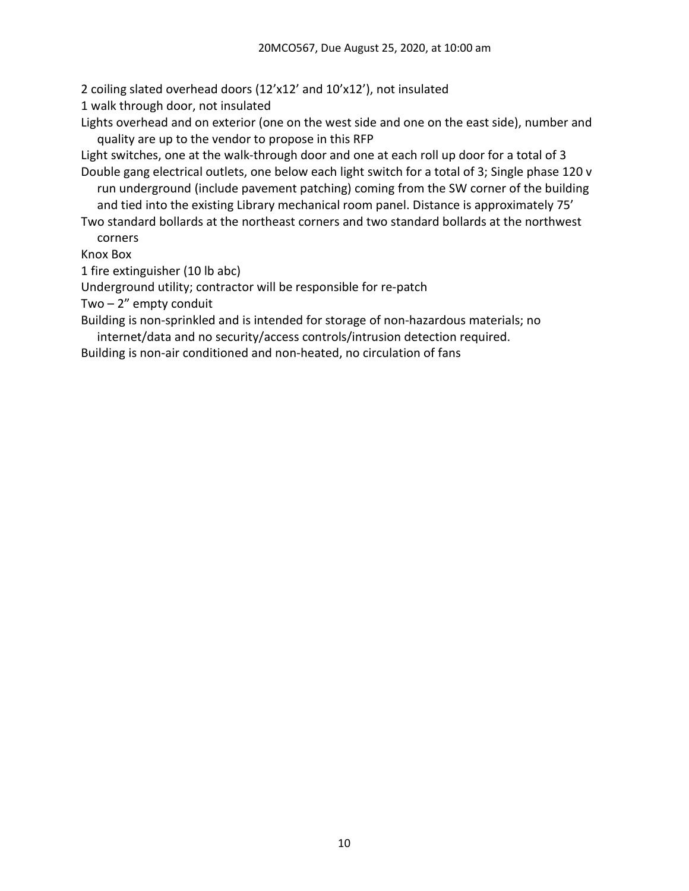2 coiling slated overhead doors (12'x12' and 10'x12'), not insulated

1 walk through door, not insulated

Lights overhead and on exterior (one on the west side and one on the east side), number and quality are up to the vendor to propose in this RFP

Light switches, one at the walk-through door and one at each roll up door for a total of 3 Double gang electrical outlets, one below each light switch for a total of 3; Single phase 120 v

run underground (include pavement patching) coming from the SW corner of the building and tied into the existing Library mechanical room panel. Distance is approximately 75'

Two standard bollards at the northeast corners and two standard bollards at the northwest corners

Knox Box

1 fire extinguisher (10 lb abc)

Underground utility; contractor will be responsible for re-patch

Two  $-2$ " empty conduit

Building is non-sprinkled and is intended for storage of non-hazardous materials; no internet/data and no security/access controls/intrusion detection required.

Building is non-air conditioned and non-heated, no circulation of fans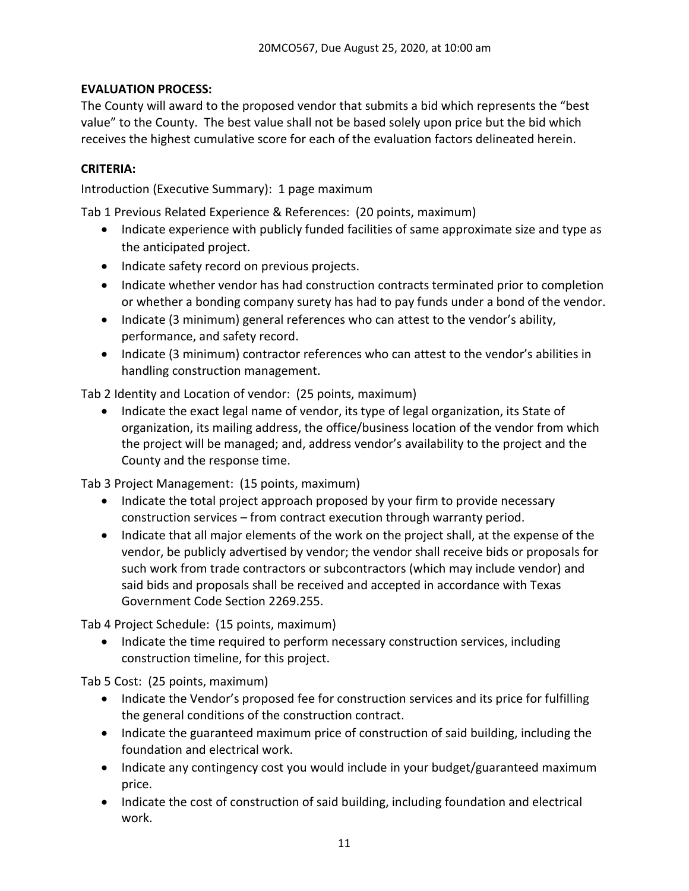# **EVALUATION PROCESS:**

The County will award to the proposed vendor that submits a bid which represents the "best value" to the County. The best value shall not be based solely upon price but the bid which receives the highest cumulative score for each of the evaluation factors delineated herein.

## **CRITERIA:**

Introduction (Executive Summary): 1 page maximum

Tab 1 Previous Related Experience & References: (20 points, maximum)

- Indicate experience with publicly funded facilities of same approximate size and type as the anticipated project.
- Indicate safety record on previous projects.
- Indicate whether vendor has had construction contracts terminated prior to completion or whether a bonding company surety has had to pay funds under a bond of the vendor.
- Indicate (3 minimum) general references who can attest to the vendor's ability, performance, and safety record.
- Indicate (3 minimum) contractor references who can attest to the vendor's abilities in handling construction management.

Tab 2 Identity and Location of vendor: (25 points, maximum)

• Indicate the exact legal name of vendor, its type of legal organization, its State of organization, its mailing address, the office/business location of the vendor from which the project will be managed; and, address vendor's availability to the project and the County and the response time.

Tab 3 Project Management: (15 points, maximum)

- Indicate the total project approach proposed by your firm to provide necessary construction services – from contract execution through warranty period.
- Indicate that all major elements of the work on the project shall, at the expense of the vendor, be publicly advertised by vendor; the vendor shall receive bids or proposals for such work from trade contractors or subcontractors (which may include vendor) and said bids and proposals shall be received and accepted in accordance with Texas Government Code Section 2269.255.

Tab 4 Project Schedule: (15 points, maximum)

• Indicate the time required to perform necessary construction services, including construction timeline, for this project.

Tab 5 Cost: (25 points, maximum)

- Indicate the Vendor's proposed fee for construction services and its price for fulfilling the general conditions of the construction contract.
- Indicate the guaranteed maximum price of construction of said building, including the foundation and electrical work.
- Indicate any contingency cost you would include in your budget/guaranteed maximum price.
- Indicate the cost of construction of said building, including foundation and electrical work.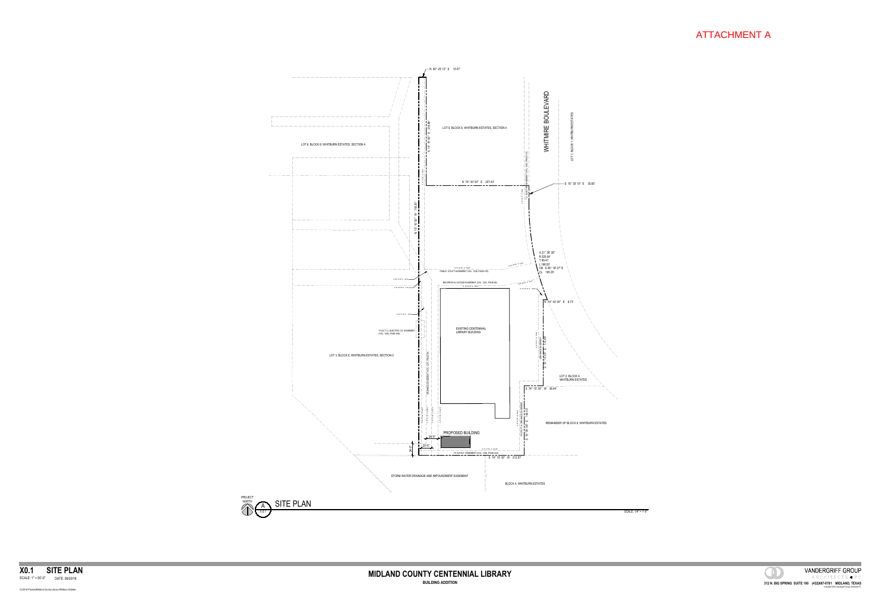